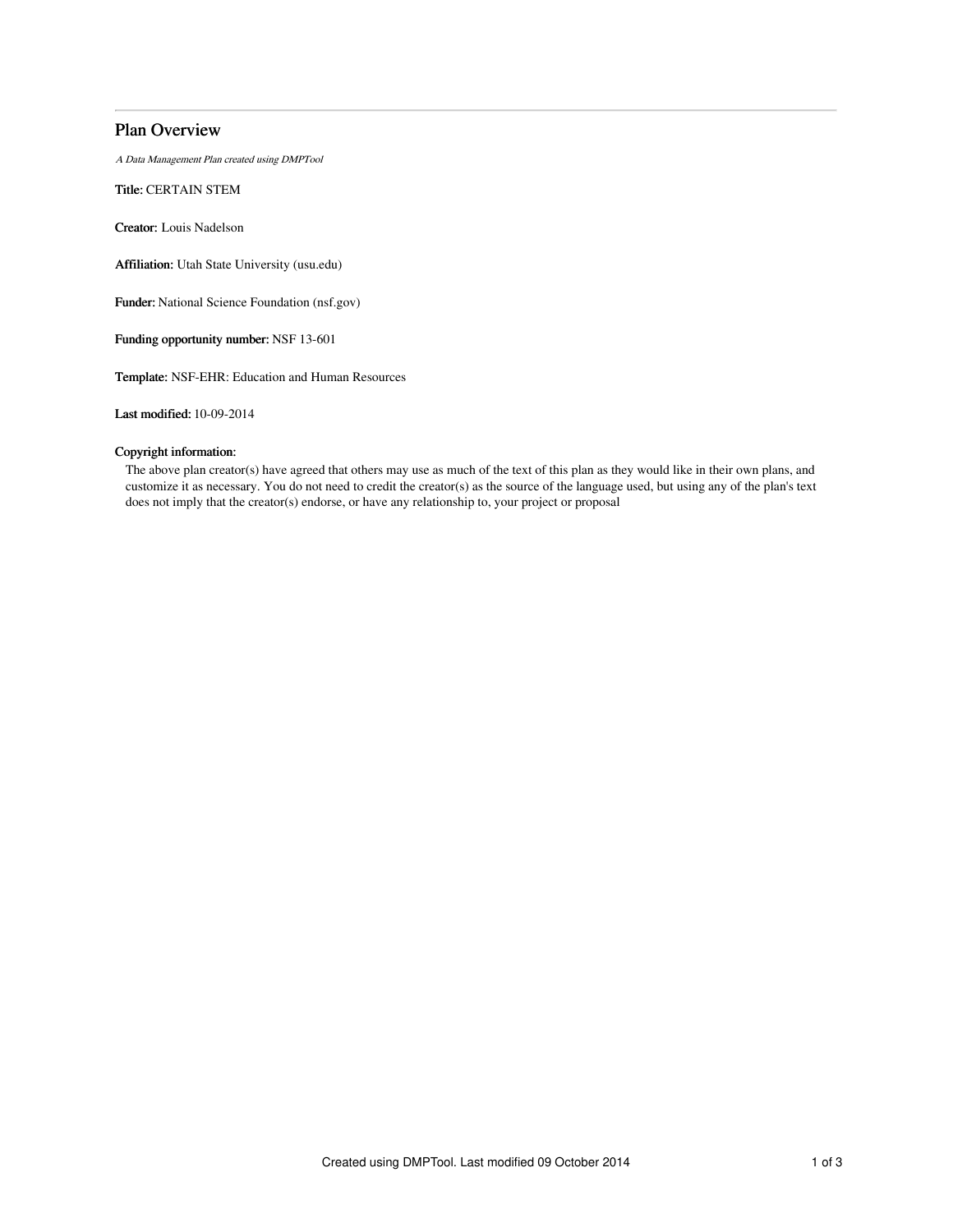# Plan Overview

A Data Management Plan created using DMPTool

Title: CERTAIN STEM

Creator: Louis Nadelson

Affiliation: Utah State University (usu.edu)

Funder: National Science Foundation (nsf.gov)

Funding opportunity number: NSF 13-601

Template: NSF-EHR: Education and Human Resources

Last modified: 10-09-2014

## Copyright information:

The above plan creator(s) have agreed that others may use as much of the text of this plan as they would like in their own plans, and customize it as necessary. You do not need to credit the creator(s) as the source of the language used, but using any of the plan's text does not imply that the creator(s) endorse, or have any relationship to, your project or proposal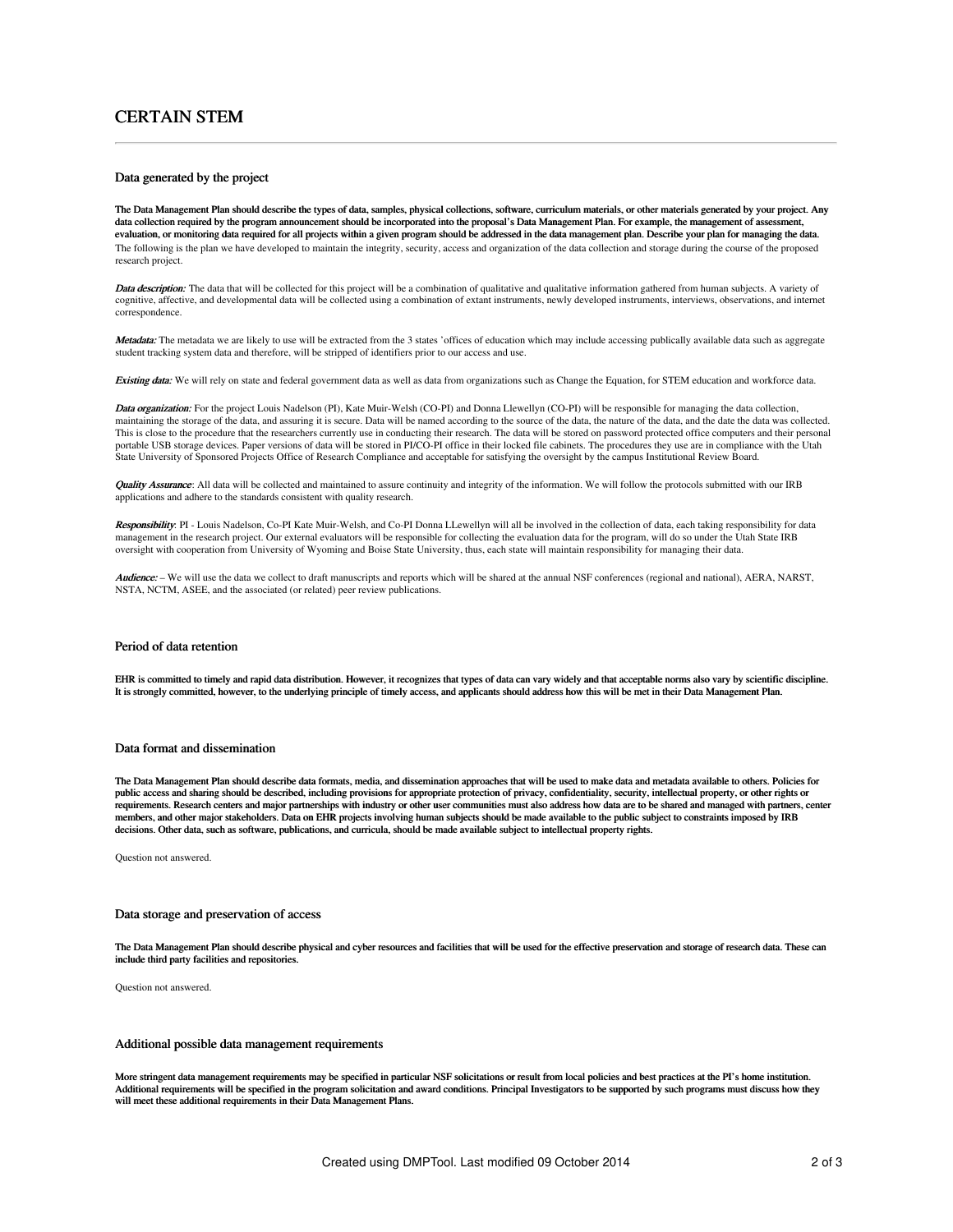# CERTAIN STEM

### Data generated by the project

The Data Management Plan should describe the types of data, samples, physical collections, software, curriculum materials, or other materials generated by your project. Any data collection required by the program announcement should be incorporated into the proposal's Data Management Plan. For example, the management of assessment, evaluation, or monitoring data required for all projects within a given program should be addressed in the data management plan. Describe your plan for managing the data. The following is the plan we have developed to maintain the integrity, security, access and organization of the data collection and storage during the course of the proposed research project.

Data description: The data that will be collected for this project will be a combination of qualitative and qualitative information gathered from human subjects. A variety of cognitive, affective, and developmental data will be collected using a combination of extant instruments, newly developed instruments, interviews, observations, and internet correspondence.

Metadata: The metadata we are likely to use will be extracted from the 3 states 'offices of education which may include accessing publically available data such as aggregate student tracking system data and therefore, will be stripped of identifiers prior to our access and use.

Existing data: We will rely on state and federal government data as well as data from organizations such as Change the Equation, for STEM education and workforce data.

Data organization: For the project Louis Nadelson (PI), Kate Muir-Welsh (CO-PI) and Donna Llewellyn (CO-PI) will be responsible for managing the data collection, maintaining the storage of the data, and assuring it is secure. Data will be named according to the source of the data, the nature of the data, and the date the data was collected. This is close to the procedure that the researchers currently use in conducting their research. The data will be stored on password protected office computers and their personal portable USB storage devices. Paper versions of data will be stored in PI/CO-PI office in their locked file cabinets. The procedures they use are in compliance with the Utah State University of Sponsored Projects Office of Research Compliance and acceptable for satisfying the oversight by the campus Institutional Review Board.

Quality Assurance: All data will be collected and maintained to assure continuity and integrity of the information. We will follow the protocols submitted with our IRB applications and adhere to the standards consistent with quality research.

Responsibility: PI - Louis Nadelson, Co-PI Kate Muir-Welsh, and Co-PI Donna LLewellyn will all be involved in the collection of data, each taking responsibility for data management in the research project. Our external evaluators will be responsible for collecting the evaluation data for the program, will do so under the Utah State IRB oversight with cooperation from University of Wyoming and Boise State University, thus, each state will maintain responsibility for managing their data.

Audience: - We will use the data we collect to draft manuscripts and reports which will be shared at the annual NSF conferences (regional and national), AERA, NARST, NSTA, NCTM, ASEE, and the associated (or related) peer review publications.

### Period of data retention

EHR is committed to timely and rapid data distribution. However, it recognizes that types of data can vary widely and that acceptable norms also vary by scientific discipline. It is strongly committed, however, to the underlying principle of timely access, and applicants should address how this will be met in their Data Management Plan.

### Data format and dissemination

The Data Management Plan should describe data formats, media, and dissemination approaches that will be used to make data and metadata available to others. Policies for public access and sharing should be described, including provisions for appropriate protection of privacy, confidentiality, security, intellectual property, or other rights or requirements. Research centers and major partnerships with industry or other user communities must also address how data are to be shared and managed with partners, center members, and other major stakeholders. Data on EHR projects involving human subjects should be made available to the public subject to constraints imposed by IRB decisions. Other data, such as software, publications, and curricula, should be made available subject to intellectual property rights.

Question not answered.

### Data storage and preservation of access

The Data Management Plan should describe physical and cyber resources and facilities that will be used for the effective preservation and storage of research data. These can include third party facilities and repositories.

Question not answered.

### Additional possible data management requirements

More stringent data management requirements may be specified in particular NSF solicitations or result from local policies and best practices at the PI's home institution. Additional requirements will be specified in the program solicitation and award conditions. Principal Investigators to be supported by such programs must discuss how they will meet these additional requirements in their Data Management Plans.